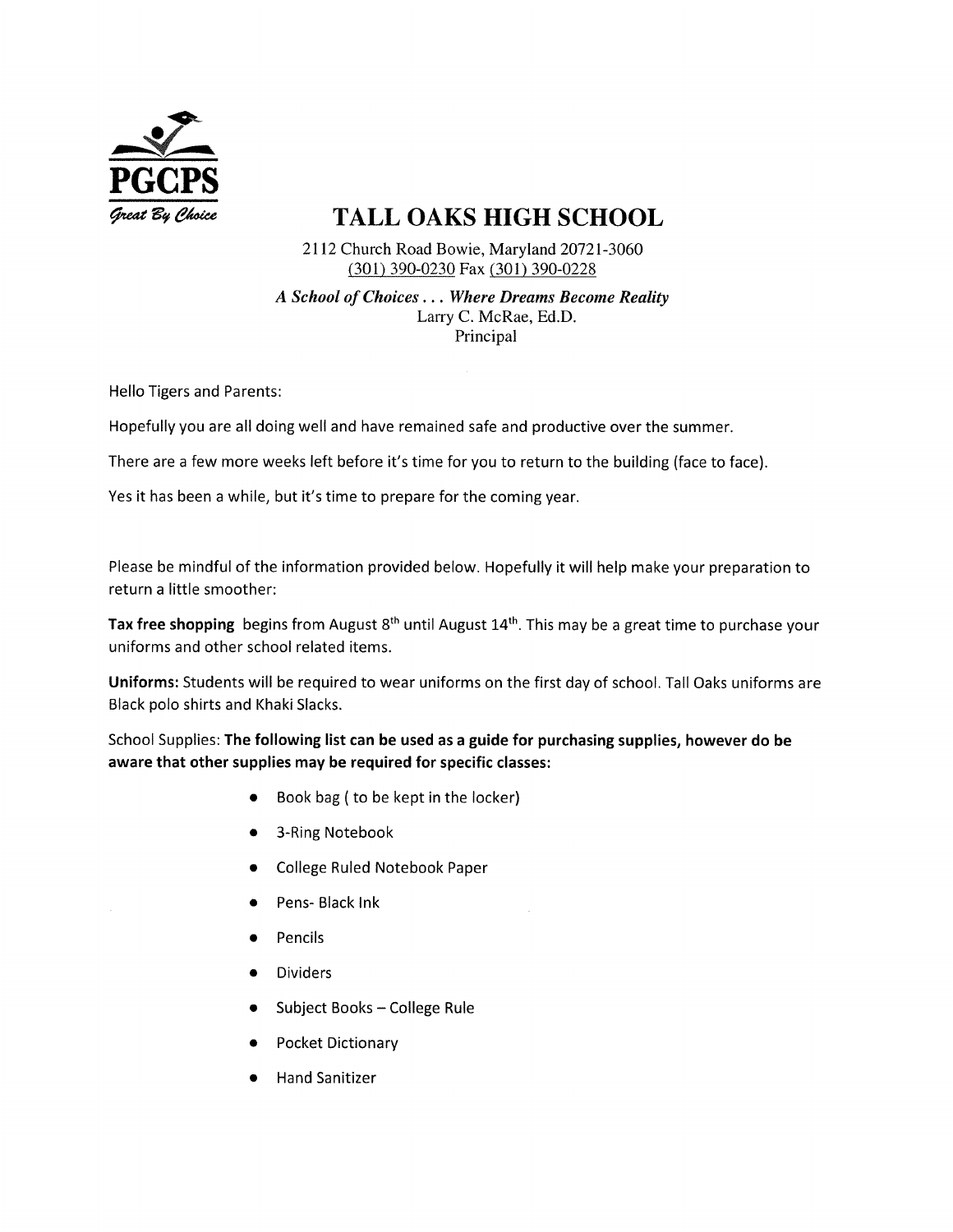

## TALL OAKS HIGH SCHOOL

2112 Church Road Bowie, Maryland 20721-3060 (301) 390-0230 Fax (301) 390-0228

A School of Choices... Where Dreams Become Reality Larry C. McRae, Ed.D. Principal

Hello Tigers and Parents:

Hopefully you are all doing well and have remained safe and productive over the summer.

There are a few more weeks left before it's time for you to return to the building (face to face).

Yes it has been a while, but it's time to prepare for the coming year.

Please be mindful of the information provided below. Hopefully it will help make your preparation to return a little smoother:

Tax free shopping begins from August  $8<sup>th</sup>$  until August  $14<sup>th</sup>$ . This may be a great time to purchase your uniforms and other school related items.

Uniforms: Students will be required to wear uniforms on the first day of school. Tall Oaks uniforms are Black polo shirts and Khaki Slacks.

School Supplies: The following list can be used as a guide for purchasing supplies, however do be aware that other supplies may be required for specific classes:

- @ Book bag ( to be kept in the locker)
- 3-Ring Notebook
- e College Ruled Notebook Paper
- Pens- Black Ink
- **Pencils**
- **Dividers**
- Subject Books College Rule
- Pocket Dictionary
- Hand Sanitizer